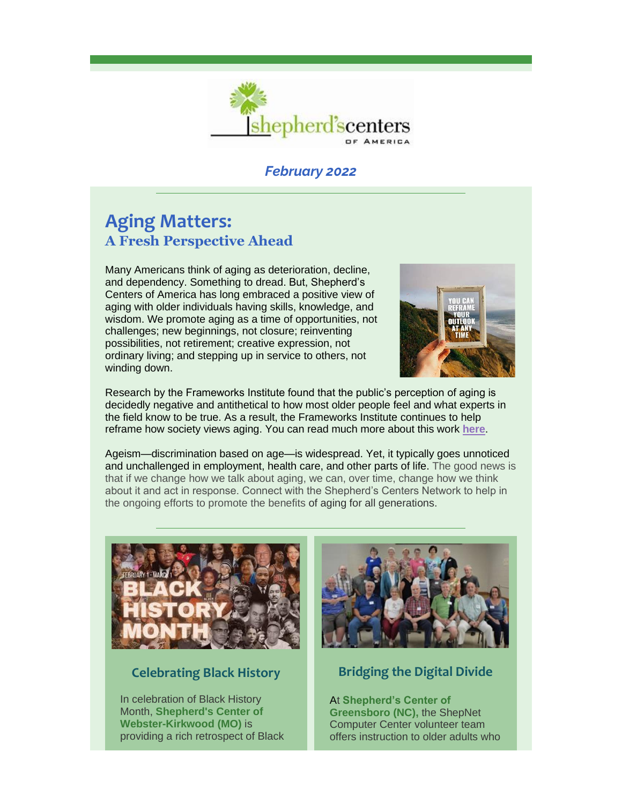

### *February 2022*

# **Aging Matters: A Fresh Perspective Ahead**

Many Americans think of aging as deterioration, decline, and dependency. Something to dread. But, Shepherd's Centers of America has long embraced a positive view of aging with older individuals having skills, knowledge, and wisdom. We promote aging as a time of opportunities, not challenges; new beginnings, not closure; reinventing possibilities, not retirement; creative expression, not ordinary living; and stepping up in service to others, not winding down.



Research by the Frameworks Institute found that the public's perception of aging is decidedly negative and antithetical to how most older people feel and what experts in the field know to be true. As a result, the Frameworks Institute continues to help reframe how society views aging. You can read much more about this work **[here](https://r20.rs6.net/tn.jsp?f=001YPehbZ08P1s1qP3yapJkoZJgsPNeMZdfGRA3qRKxaouPiIeWK1YTVhdVsF9OfRd1wuwcLMPnKUNOS1A723miBnd2_LmSdNL8mbe7hvORMkf2Ahwr2LnJbpYvXN9B6Y8FHh7YjSltA9oCBpiS39H53a8vSMFiOly6L5KNyNB0D-lFAyDt5p4IMA==&c=RlPoujUqx9Swlmemdl2shjzngAxmes3g4LYXAGJ2ev2keqQcv3R7Ww==&ch=gaNgM0N7HhAkcM9BtsDj_Vem2Jg0ycPbYpCKcrddDLTChT-MvUbqZg==)**.

Ageism—discrimination based on age—is widespread. Yet, it typically goes unnoticed and unchallenged in employment, health care, and other parts of life. The good news is that if we change how we talk about aging, we can, over time, change how we think about it and act in response. Connect with the Shepherd's Centers Network to help in the ongoing efforts to promote the benefits of aging for all generations.



#### **Celebrating Black History**

In celebration of Black History Month, **Shepherd's Center of Webster-Kirkwood (MO)** is providing a rich retrospect of Black



## **Bridging the Digital Divide**

At **Shepherd's Center of Greensboro (NC),** the ShepNet Computer Center volunteer team offers instruction to older adults who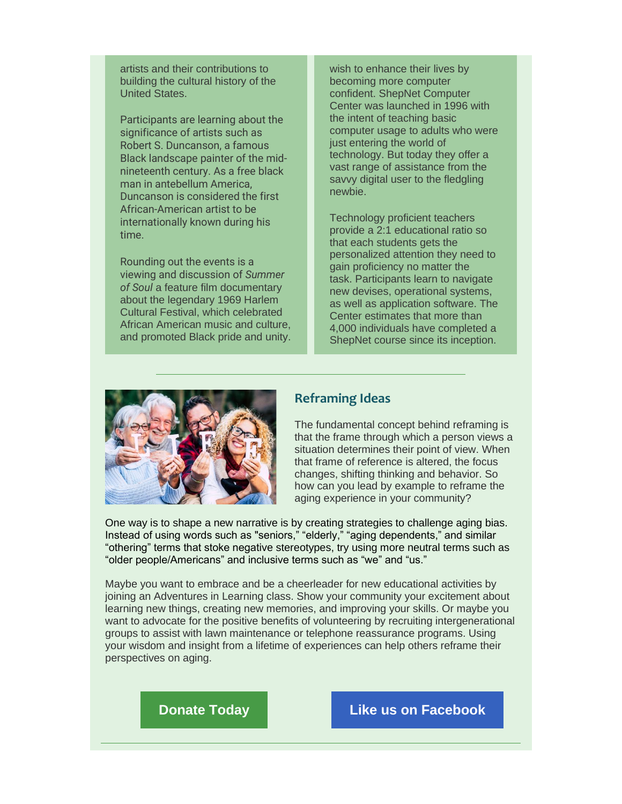artists and their contributions to building the cultural history of the United States.

Participants are learning about the significance of artists such as Robert S. Duncanson, a famous Black landscape painter of the midnineteenth century. As a free black man in antebellum America, Duncanson is considered the first African-American artist to be internationally known during his time.

Rounding out the events is a viewing and discussion of *Summer of Soul* a feature film documentary about the legendary 1969 Harlem Cultural Festival, which celebrated African American music and culture, and promoted Black pride and unity. wish to enhance their lives by becoming more computer confident. ShepNet Computer Center was launched in 1996 with the intent of teaching basic computer usage to adults who were just entering the world of technology. But today they offer a vast range of assistance from the savvy digital user to the fledgling newbie.

Technology proficient teachers provide a 2:1 educational ratio so that each students gets the personalized attention they need to gain proficiency no matter the task. Participants learn to navigate new devises, operational systems, as well as application software. The Center estimates that more than 4,000 individuals have completed a ShepNet course since its inception.



#### **Reframing Ideas**

The fundamental concept behind reframing is that the frame through which a person views a situation determines their point of view. When that frame of reference is altered, the focus changes, shifting thinking and behavior. So how can you lead by example to reframe the aging experience in your community?

One way is to shape a new narrative is by creating strategies to challenge aging bias. Instead of using words such as "seniors," "elderly," "aging dependents," and similar "othering" terms that stoke negative stereotypes, try using more neutral terms such as "older people/Americans" and inclusive terms such as "we" and "us."

Maybe you want to embrace and be a cheerleader for new educational activities by joining an Adventures in Learning class. Show your community your excitement about learning new things, creating new memories, and improving your skills. Or maybe you want to advocate for the positive benefits of volunteering by recruiting intergenerational groups to assist with lawn maintenance or telephone reassurance programs. Using your wisdom and insight from a lifetime of experiences can help others reframe their perspectives on aging.

**[Donate Today](https://r20.rs6.net/tn.jsp?f=001YPehbZ08P1s1qP3yapJkoZJgsPNeMZdfGRA3qRKxaouPiIeWK1YTVk06gNQMysj9PDxgw2ZFTlCuCn5QfrPJRCJKZp4dhQ44Av4CYP7sj9AvriY8fJ0cFTABklCgBGiew0lk4Ut7PBwXHu_F2NYH4m5ASb8xUbfH&c=RlPoujUqx9Swlmemdl2shjzngAxmes3g4LYXAGJ2ev2keqQcv3R7Ww==&ch=gaNgM0N7HhAkcM9BtsDj_Vem2Jg0ycPbYpCKcrddDLTChT-MvUbqZg==) [Like us on Facebook](https://r20.rs6.net/tn.jsp?f=001YPehbZ08P1s1qP3yapJkoZJgsPNeMZdfGRA3qRKxaouPiIeWK1YTVkLw-VCslKslQHGw_Nh5U_Zr7UCam7VTWxeQ7nRx8ChjUnboE1H4lQpwfXUlO_NQ49PKrjGg9z3Nx6tPdPmyRfybnXTKVsxHhevVURI1C2v1VSXQQNQKGLNFbp6LdN-WFw==&c=RlPoujUqx9Swlmemdl2shjzngAxmes3g4LYXAGJ2ev2keqQcv3R7Ww==&ch=gaNgM0N7HhAkcM9BtsDj_Vem2Jg0ycPbYpCKcrddDLTChT-MvUbqZg==)**